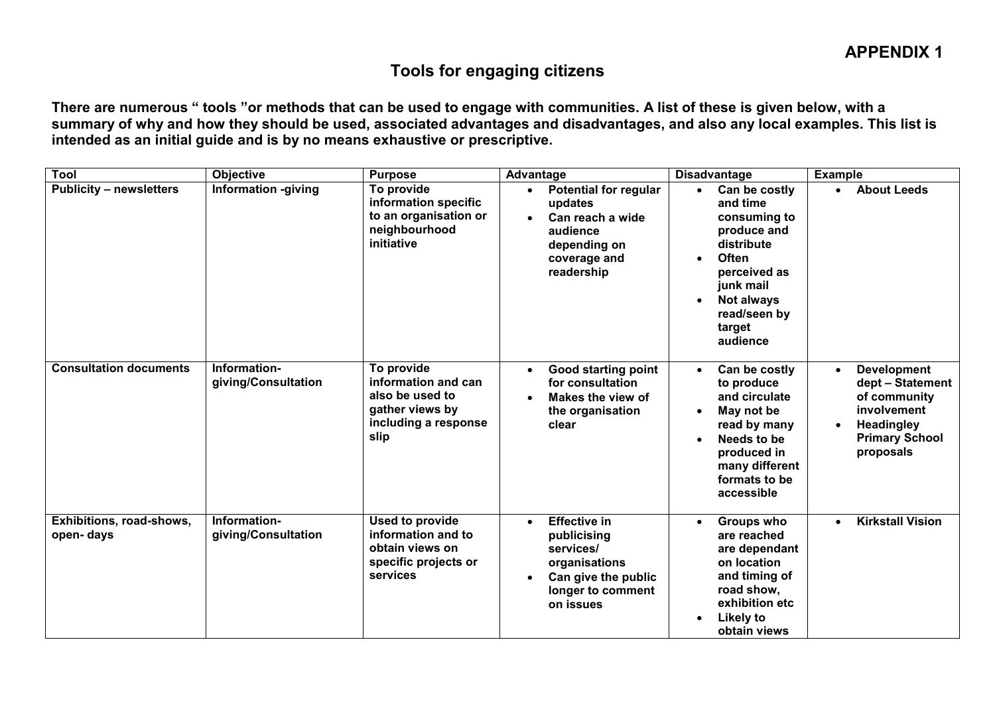## Tools for engaging citizens

There are numerous " tools "or methods that can be used to engage with communities. A list of these is given below, with a summary of why and how they should be used, associated advantages and disadvantages, and also any local examples. This list is intended as an initial guide and is by no means exhaustive or prescriptive.

| <b>Tool</b>                           | Objective                           | <b>Purpose</b>                                                                                          | Advantage                                                                                                                              | <b>Disadvantage</b>                                                                                                                                                                                                   | <b>Example</b>                                                                                                                   |  |
|---------------------------------------|-------------------------------------|---------------------------------------------------------------------------------------------------------|----------------------------------------------------------------------------------------------------------------------------------------|-----------------------------------------------------------------------------------------------------------------------------------------------------------------------------------------------------------------------|----------------------------------------------------------------------------------------------------------------------------------|--|
| <b>Publicity - newsletters</b>        | <b>Information -giving</b>          | To provide<br>information specific<br>to an organisation or<br>neighbourhood<br>initiative              | <b>Potential for regular</b><br>updates<br>Can reach a wide<br>audience<br>depending on<br>coverage and<br>readership                  | Can be costly<br>$\bullet$<br>and time<br>consuming to<br>produce and<br>distribute<br><b>Often</b><br>$\bullet$<br>perceived as<br>junk mail<br><b>Not always</b><br>$\bullet$<br>read/seen by<br>target<br>audience | <b>About Leeds</b><br>$\bullet$                                                                                                  |  |
| <b>Consultation documents</b>         | Information-<br>giving/Consultation | To provide<br>information and can<br>also be used to<br>gather views by<br>including a response<br>slip | <b>Good starting point</b><br>$\bullet$<br>for consultation<br>Makes the view of<br>the organisation<br>clear                          | Can be costly<br>$\bullet$<br>to produce<br>and circulate<br>May not be<br>read by many<br>Needs to be<br>$\bullet$<br>produced in<br>many different<br>formats to be<br>accessible                                   | <b>Development</b><br>dept - Statement<br>of community<br>involvement<br><b>Headingley</b><br><b>Primary School</b><br>proposals |  |
| Exhibitions, road-shows,<br>open-days | Information-<br>giving/Consultation | Used to provide<br>information and to<br>obtain views on<br>specific projects or<br>services            | <b>Effective in</b><br>$\bullet$<br>publicising<br>services/<br>organisations<br>Can give the public<br>longer to comment<br>on issues | Groups who<br>$\bullet$<br>are reached<br>are dependant<br>on location<br>and timing of<br>road show,<br>exhibition etc<br><b>Likely to</b><br>$\bullet$<br>obtain views                                              | <b>Kirkstall Vision</b><br>$\bullet$                                                                                             |  |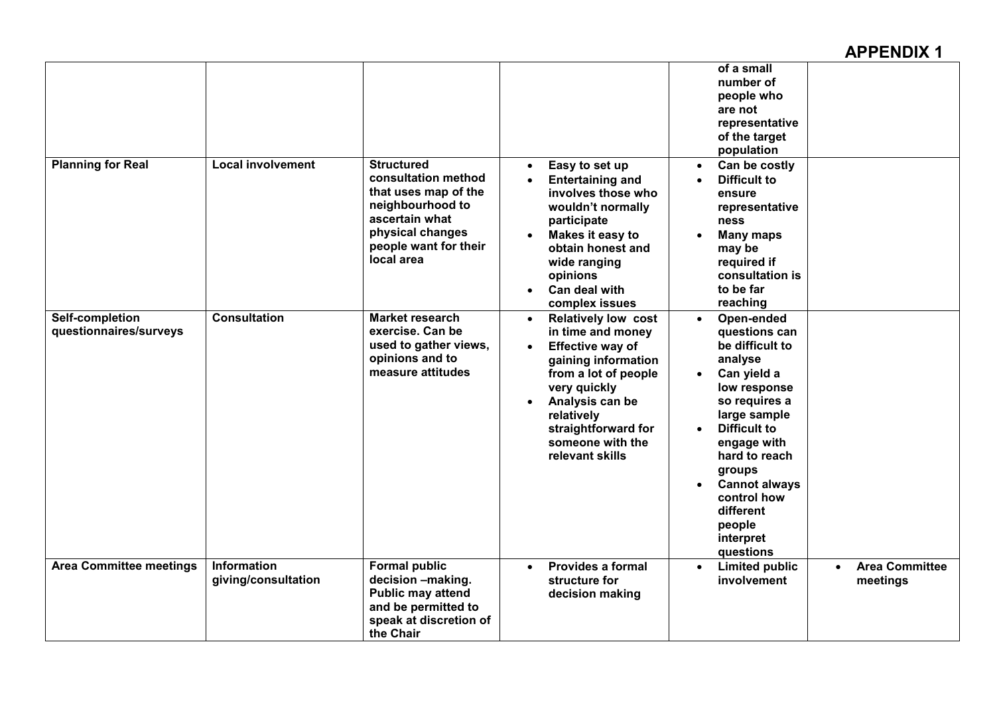## APPENDIX 1

| <b>Planning for Real</b>                  | <b>Local involvement</b>                  | <b>Structured</b><br>consultation method<br>that uses map of the<br>neighbourhood to<br>ascertain what<br>physical changes<br>people want for their<br>local area | Easy to set up<br><b>Entertaining and</b><br>involves those who<br>wouldn't normally<br>participate<br>Makes it easy to<br>obtain honest and<br>wide ranging<br>opinions<br>Can deal with                                                                               | of a small<br>number of<br>people who<br>are not<br>representative<br>of the target<br>population<br>Can be costly<br>$\bullet$<br><b>Difficult to</b><br>$\bullet$<br>ensure<br>representative<br>ness<br><b>Many maps</b><br>may be<br>required if<br>consultation is<br>to be far                                                               |                                                |
|-------------------------------------------|-------------------------------------------|-------------------------------------------------------------------------------------------------------------------------------------------------------------------|-------------------------------------------------------------------------------------------------------------------------------------------------------------------------------------------------------------------------------------------------------------------------|----------------------------------------------------------------------------------------------------------------------------------------------------------------------------------------------------------------------------------------------------------------------------------------------------------------------------------------------------|------------------------------------------------|
| Self-completion<br>questionnaires/surveys | <b>Consultation</b>                       | <b>Market research</b><br>exercise. Can be<br>used to gather views,<br>opinions and to<br>measure attitudes                                                       | complex issues<br><b>Relatively low cost</b><br>$\bullet$<br>in time and money<br><b>Effective way of</b><br>gaining information<br>from a lot of people<br>very quickly<br>Analysis can be<br>relatively<br>straightforward for<br>someone with the<br>relevant skills | reaching<br>Open-ended<br>$\bullet$<br>questions can<br>be difficult to<br>analyse<br>Can yield a<br>$\bullet$<br>low response<br>so requires a<br>large sample<br><b>Difficult to</b><br>$\bullet$<br>engage with<br>hard to reach<br>groups<br><b>Cannot always</b><br>$\bullet$<br>control how<br>different<br>people<br>interpret<br>questions |                                                |
| <b>Area Committee meetings</b>            | <b>Information</b><br>giving/consultation | <b>Formal public</b><br>decision -making.<br><b>Public may attend</b><br>and be permitted to<br>speak at discretion of<br>the Chair                               | <b>Provides a formal</b><br>$\bullet$<br>structure for<br>decision making                                                                                                                                                                                               | <b>Limited public</b><br>$\bullet$<br>involvement                                                                                                                                                                                                                                                                                                  | <b>Area Committee</b><br>$\bullet$<br>meetings |